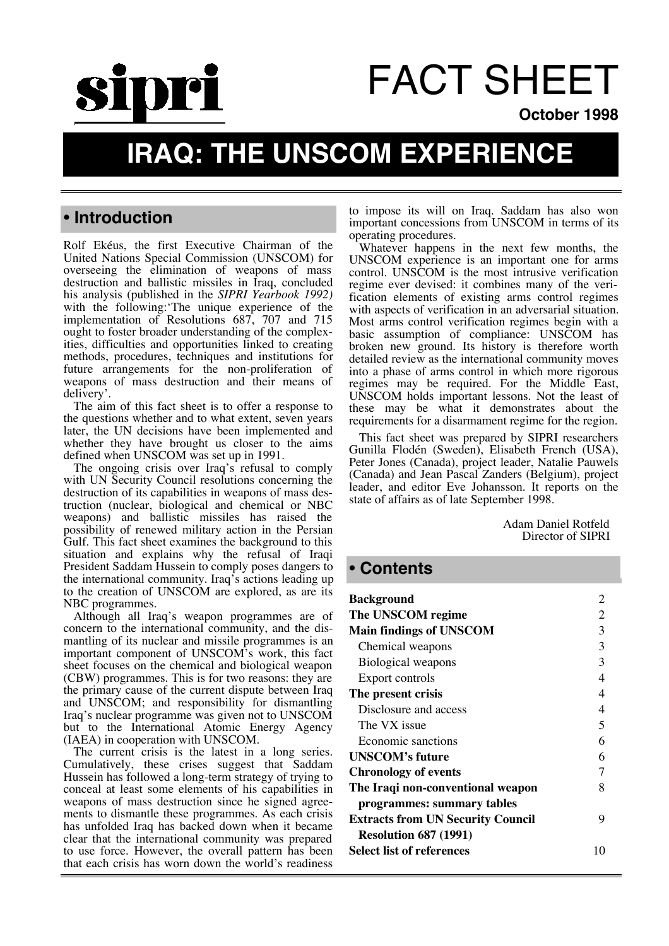

FACT SHEET

**October 1998**

# **IRAQ: THE UNSCOM EXPERIENCE**

**Rolf Ekéus, the first Executive Chairman of the Whatever hanners** United Nations Special Commission (UNSCOM) for overseeing the elimination of weapons of mass destruction and ballistic missiles in Iraq, concluded his analysis (published in the *SIPRI Yearbook 1992)* with the following:'The unique experience of the implementation of Resolutions 687, 707 and 715 ought to foster broader understanding of the complexities, difficulties and opportunities linked to creating methods, procedures, techniques and institutions for future arrangements for the non-proliferation of weapons of mass destruction and their means of delivery'.

The aim of this fact sheet is to offer a response to the questions whether and to what extent, seven years later, the UN decisions have been implemented and whether they have brought us closer to the aims defined when UNSCOM was set up in 1991.

The ongoing crisis over Iraq's refusal to comply with UN Security Council resolutions concerning the destruction of its capabilities in weapons of mass destruction (nuclear, biological and chemical or NBC weapons) and ballistic missiles has raised the possibility of renewed military action in the Persian Gulf. This fact sheet examines the background to this situation and explains why the refusal of Iraqi President Saddam Hussein to comply poses dangers to the international community. Iraq's actions leading up to the creation of UNSCOM are explored, as are its NBC programmes.

Although all Iraq's weapon programmes are of concern to the international community, and the dismantling of its nuclear and missile programmes is an important component of UNSCOM's work, this fact sheet focuses on the chemical and biological weapon (CBW) programmes. This is for two reasons: they are the primary cause of the current dispute between Iraq and UNSCOM; and responsibility for dismantling Iraq's nuclear programme was given not to UNSCOM but to the International Atomic Energy Agency (IAEA) in cooperation with UNSCOM.

The current crisis is the latest in a long series. Cumulatively, these crises suggest that Saddam Hussein has followed a long-term strategy of trying to conceal at least some elements of his capabilities in weapons of mass destruction since he signed agreements to dismantle these programmes. As each crisis has unfolded Iraq has backed down when it became clear that the international community was prepared to use force. However, the overall pattern has been that each crisis has worn down the world's readiness

**•** Introduction **to impose** its will on Iraq. Saddam has also won important concessions from UNSCOM in terms of its

> Whatever happens in the next few months, the UNSCOM experience is an important one for arms control. UNSCOM is the most intrusive verification regime ever devised: it combines many of the verification elements of existing arms control regimes with aspects of verification in an adversarial situation. Most arms control verification regimes begin with a basic assumption of compliance: UNSCOM has broken new ground. Its history is therefore worth detailed review as the international community moves into a phase of arms control in which more rigorous regimes may be required. For the Middle East, UNSCOM holds important lessons. Not the least of these may be what it demonstrates about the requirements for a disarmament regime for the region.

> This fact sheet was prepared by SIPRI researchers Gunilla Flodén (Sweden), Elisabeth French (USA), Peter Jones (Canada), project leader, Natalie Pauwels (Canada) and Jean Pascal Zanders (Belgium), project leader, and editor Eve Johansson. It reports on the state of affairs as of late September 1998.

> > Adam Daniel Rotfeld Director of SIPRI

### **• Contents**

| Background                               |    |
|------------------------------------------|----|
| The UNSCOM regime                        | 2  |
| <b>Main findings of UNSCOM</b>           | 3  |
| Chemical weapons                         | 3  |
| Biological weapons                       | 3  |
| Export controls                          | 4  |
| The present crisis                       | 4  |
| Disclosure and access                    | 4  |
| The VX issue                             | 5  |
| Economic sanctions                       | 6  |
| <b>UNSCOM's future</b>                   | 6  |
| <b>Chronology of events</b>              | 7  |
| The Iraqi non-conventional weapon        | 8  |
| programmes: summary tables               |    |
| <b>Extracts from UN Security Council</b> | 9  |
| <b>Resolution 687 (1991)</b>             |    |
| <b>Select list of references</b>         | 10 |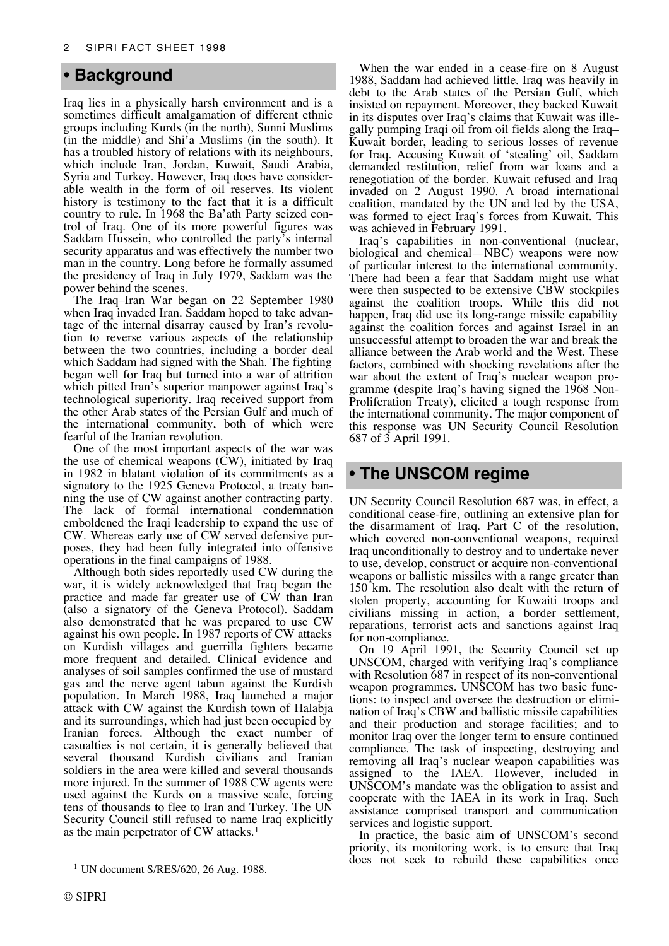Iraq lies in a physically harsh environment and is a sometimes difficult amalgamation of different ethnic groups including Kurds (in the north), Sunni Muslims (in the middle) and Shi'a Muslims (in the south). It has a troubled history of relations with its neighbours, which include Iran, Jordan, Kuwait, Saudi Arabia, Syria and Turkey. However, Iraq does have considerable wealth in the form of oil reserves. Its violent history is testimony to the fact that it is a difficult country to rule. In 1968 the Ba'ath Party seized control of Iraq. One of its more powerful figures was Saddam Hussein, who controlled the party's internal security apparatus and was effectively the number two man in the country. Long before he formally assumed the presidency of Iraq in July 1979, Saddam was the power behind the scenes.

The Iraq–Iran War began on 22 September 1980 when Iraq invaded Iran. Saddam hoped to take advantage of the internal disarray caused by Iran's revolution to reverse various aspects of the relationship between the two countries, including a border deal which Saddam had signed with the Shah. The fighting began well for Iraq but turned into a war of attrition which pitted Iran's superior manpower against Iraq's technological superiority. Iraq received support from the other Arab states of the Persian Gulf and much of the international community, both of which were fearful of the Iranian revolution.

One of the most important aspects of the war was the use of chemical weapons (CW), initiated by Iraq in 1982 in blatant violation of its commitments as a signatory to the 1925 Geneva Protocol, a treaty banning the use of CW against another contracting party. The lack of formal international condemnation emboldened the Iraqi leadership to expand the use of CW. Whereas early use of CW served defensive purposes, they had been fully integrated into offensive operations in the final campaigns of 1988.

Although both sides reportedly used CW during the war, it is widely acknowledged that Iraq began the practice and made far greater use of CW than Iran (also a signatory of the Geneva Protocol). Saddam also demonstrated that he was prepared to use CW against his own people. In 1987 reports of CW attacks on Kurdish villages and guerrilla fighters became more frequent and detailed. Clinical evidence and analyses of soil samples confirmed the use of mustard gas and the nerve agent tabun against the Kurdish population. In March 1988, Iraq launched a major attack with CW against the Kurdish town of Halabja and its surroundings, which had just been occupied by Iranian forces. Although the exact number of casualties is not certain, it is generally believed that several thousand Kurdish civilians and Iranian soldiers in the area were killed and several thousands more injured. In the summer of 1988 CW agents were used against the Kurds on a massive scale, forcing tens of thousands to flee to Iran and Turkey. The UN Security Council still refused to name Iraq explicitly as the main perpetrator of CW attacks.1

**• Background** When the war ended in a cease-fire on 8 August 1988, Saddam had achieved little. Iraq was heavily in debt to the Arab states of the Persian Gulf, which insisted on repayment. Moreover, they backed Kuwait in its disputes over Iraq's claims that Kuwait was illegally pumping Iraqi oil from oil fields along the Iraq– Kuwait border, leading to serious losses of revenue for Iraq. Accusing Kuwait of 'stealing' oil, Saddam demanded restitution, relief from war loans and a renegotiation of the border. Kuwait refused and Iraq invaded on 2 August 1990. A broad international coalition, mandated by the UN and led by the USA, was formed to eject Iraq's forces from Kuwait. This was achieved in February 1991.

> Iraq's capabilities in non-conventional (nuclear, biological and chemical—NBC) weapons were now of particular interest to the international community. There had been a fear that Saddam might use what were then suspected to be extensive CBW stockpiles against the coalition troops. While this did not happen, Iraq did use its long-range missile capability against the coalition forces and against Israel in an unsuccessful attempt to broaden the war and break the alliance between the Arab world and the West. These factors, combined with shocking revelations after the war about the extent of Iraq's nuclear weapon programme (despite Iraq's having signed the 1968 Non-Proliferation Treaty), elicited a tough response from the international community. The major component of this response was UN Security Council Resolution 687 of 3 April 1991.

### **• The UNSCOM regime**

UN Security Council Resolution 687 was, in effect, a conditional cease-fire, outlining an extensive plan for the disarmament of Iraq. Part C of the resolution, which covered non-conventional weapons, required Iraq unconditionally to destroy and to undertake never to use, develop, construct or acquire non-conventional weapons or ballistic missiles with a range greater than 150 km. The resolution also dealt with the return of stolen property, accounting for Kuwaiti troops and civilians missing in action, a border settlement, reparations, terrorist acts and sanctions against Iraq for non-compliance.

On 19 April 1991, the Security Council set up UNSCOM, charged with verifying Iraq's compliance with Resolution 687 in respect of its non-conventional weapon programmes. UNSCOM has two basic functions: to inspect and oversee the destruction or elimination of Iraq's CBW and ballistic missile capabilities and their production and storage facilities; and to monitor Iraq over the longer term to ensure continued compliance. The task of inspecting, destroying and removing all Iraq's nuclear weapon capabilities was assigned to the IAEA. However, included in UNSCOM's mandate was the obligation to assist and cooperate with the IAEA in its work in Iraq. Such assistance comprised transport and communication services and logistic support.

In practice, the basic aim of UNSCOM's second priority, its monitoring work, is to ensure that Iraq <sup>1</sup> UN document S/RES/620, 26 Aug. 1988.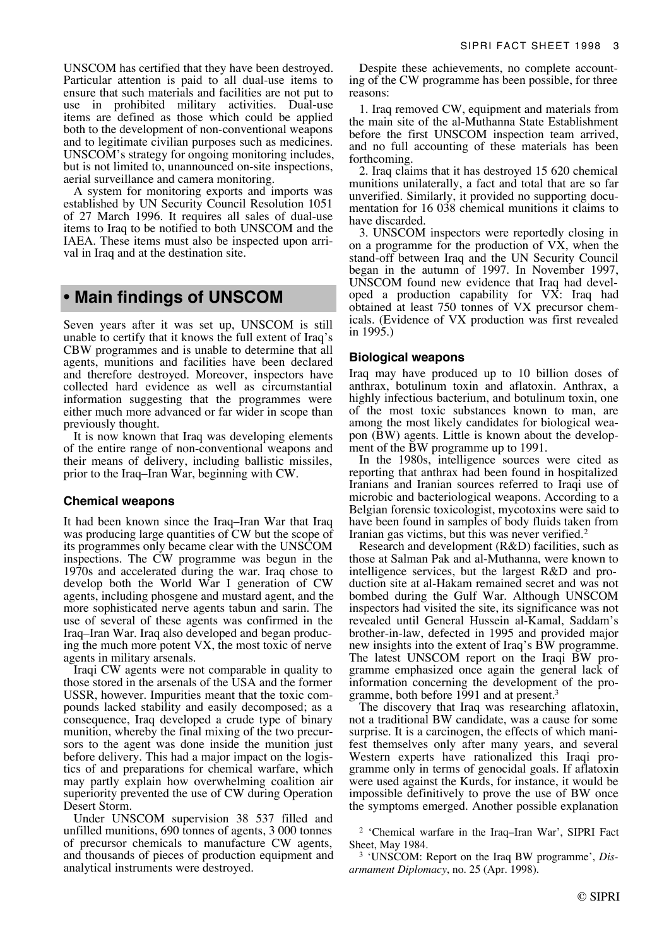UNSCOM has certified that they have been destroyed. Particular attention is paid to all dual-use items to ensure that such materials and facilities are not put to use in prohibited military activities. Dual-use items are defined as those which could be applied both to the development of non-conventional weapons and to legitimate civilian purposes such as medicines. UNSCOM's strategy for ongoing monitoring includes, but is not limited to, unannounced on-site inspections, aerial surveillance and camera monitoring.

A system for monitoring exports and imports was established by UN Security Council Resolution 1051 of 27 March 1996. It requires all sales of dual-use items to Iraq to be notified to both UNSCOM and the IAEA. These items must also be inspected upon arrival in Iraq and at the destination site.

### **• Main findings of UNSCOM**

Seven years after it was set up, UNSCOM is still unable to certify that it knows the full extent of Iraq's CBW programmes and is unable to determine that all agents, munitions and facilities have been declared and therefore destroyed. Moreover, inspectors have collected hard evidence as well as circumstantial information suggesting that the programmes were either much more advanced or far wider in scope than previously thought.

It is now known that Iraq was developing elements of the entire range of non-conventional weapons and their means of delivery, including ballistic missiles, prior to the Iraq–Iran War, beginning with CW.

#### **Chemical weapons**

It had been known since the Iraq–Iran War that Iraq was producing large quantities of CW but the scope of its programmes only became clear with the UNSCOM inspections. The CW programme was begun in the 1970s and accelerated during the war. Iraq chose to develop both the World War I generation of CW agents, including phosgene and mustard agent, and the more sophisticated nerve agents tabun and sarin. The use of several of these agents was confirmed in the Iraq–Iran War. Iraq also developed and began producing the much more potent VX, the most toxic of nerve agents in military arsenals.

Iraqi CW agents were not comparable in quality to those stored in the arsenals of the USA and the former USSR, however. Impurities meant that the toxic compounds lacked stability and easily decomposed; as a consequence, Iraq developed a crude type of binary munition, whereby the final mixing of the two precursors to the agent was done inside the munition just before delivery. This had a major impact on the logistics of and preparations for chemical warfare, which may partly explain how overwhelming coalition air superiority prevented the use of CW during Operation Desert Storm.

Under UNSCOM supervision 38 537 filled and unfilled munitions, 690 tonnes of agents, 3 000 tonnes of precursor chemicals to manufacture CW agents, and thousands of pieces of production equipment and analytical instruments were destroyed.

Despite these achievements, no complete accounting of the CW programme has been possible, for three reasons:

1. Iraq removed CW, equipment and materials from the main site of the al-Muthanna State Establishment before the first UNSCOM inspection team arrived, and no full accounting of these materials has been forthcoming.

2. Iraq claims that it has destroyed 15 620 chemical munitions unilaterally, a fact and total that are so far unverified. Similarly, it provided no supporting documentation for 16 038 chemical munitions it claims to have discarded.

3. UNSCOM inspectors were reportedly closing in on a programme for the production of VX, when the stand-off between Iraq and the UN Security Council began in the autumn of 1997. In November 1997, UNSCOM found new evidence that Iraq had developed a production capability for VX: Iraq had obtained at least 750 tonnes of VX precursor chemicals. (Evidence of VX production was first revealed in 1995.)

#### **Biological weapons**

Iraq may have produced up to 10 billion doses of anthrax, botulinum toxin and aflatoxin. Anthrax, a highly infectious bacterium, and botulinum toxin, one of the most toxic substances known to man, are among the most likely candidates for biological weapon (BW) agents. Little is known about the development of the BW programme up to 1991.

In the 1980s, intelligence sources were cited as reporting that anthrax had been found in hospitalized Iranians and Iranian sources referred to Iraqi use of microbic and bacteriological weapons. According to a Belgian forensic toxicologist, mycotoxins were said to have been found in samples of body fluids taken from Iranian gas victims, but this was never verified.2

Research and development (R&D) facilities, such as those at Salman Pak and al-Muthanna, were known to intelligence services, but the largest R&D and production site at al-Hakam remained secret and was not bombed during the Gulf War. Although UNSCOM inspectors had visited the site, its significance was not revealed until General Hussein al-Kamal, Saddam's brother-in-law, defected in 1995 and provided major new insights into the extent of Iraq's BW programme. The latest UNSCOM report on the Iraqi BW programme emphasized once again the general lack of information concerning the development of the programme, both before 1991 and at present.3

The discovery that Iraq was researching aflatoxin, not a traditional BW candidate, was a cause for some surprise. It is a carcinogen, the effects of which manifest themselves only after many years, and several Western experts have rationalized this Iraqi programme only in terms of genocidal goals. If aflatoxin were used against the Kurds, for instance, it would be impossible definitively to prove the use of BW once the symptoms emerged. Another possible explanation

2 'Chemical warfare in the Iraq–Iran War', SIPRI Fact Sheet, May 1984.

3 'UNSCOM: Report on the Iraq BW programme', *Disarmament Diplomacy*, no. 25 (Apr. 1998).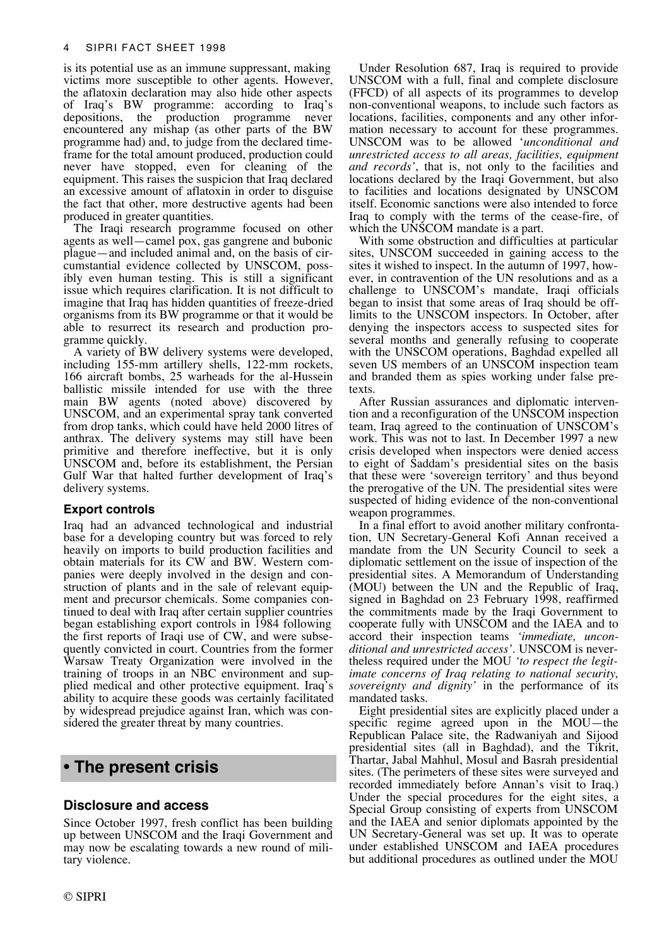is its potential use as an immune suppressant, making victims more susceptible to other agents. However, the aflatoxin declaration may also hide other aspects of Iraq's BW programme: according to Iraq's depositions, the production programme never production programme never encountered any mishap (as other parts of the BW programme had) and, to judge from the declared timeframe for the total amount produced, production could never have stopped, even for cleaning of the equipment. This raises the suspicion that Iraq declared an excessive amount of aflatoxin in order to disguise the fact that other, more destructive agents had been produced in greater quantities.

The Iraqi research programme focused on other which the UNSCOM mandate is a part. agents as well—camel pox, gas gangrene and bubonic plague—and included animal and, on the basis of circumstantial evidence collected by UNSCOM, possibly even human testing. This is still a significant issue which requires clarification. It is not difficult to imagine that Iraq has hidden quantities of freeze-dried organisms from its BW programme or that it would be able to resurrect its research and production programme quickly.

A variety of BW delivery systems were developed, including 155-mm artillery shells, 122-mm rockets, 166 aircraft bombs, 25 warheads for the al-Hussein ballistic missile intended for use with the three main BW agents (noted above) discovered by UNSCOM, and an experimental spray tank converted from drop tanks, which could have held 2000 litres of anthrax. The delivery systems may still have been primitive and therefore ineffective, but it is only UNSCOM and, before its establishment, the Persian Gulf War that halted further development of Iraq's delivery systems.

Iraq had an advanced technological and industrial base for a developing country but was forced to rely heavily on imports to build production facilities and obtain materials for its CW and BW. Western companies were deeply involved in the design and construction of plants and in the sale of relevant equipment and precursor chemicals. Some companies continued to deal with Iraq after certain supplier countries began establishing export controls in 1984 following the first reports of Iraqi use of CW, and were subsequently convicted in court. Countries from the former Warsaw Treaty Organization were involved in the training of troops in an NBC environment and supplied medical and other protective equipment. Iraq's ability to acquire these goods was certainly facilitated by widespread prejudice against Iran, which was considered the greater threat by many countries.

### **• The present crisis**

### **Disclosure and access**

Since October 1997, fresh conflict has been building up between UNSCOM and the Iraqi Government and may now be escalating towards a new round of military violence.

Under Resolution 687, Iraq is required to provide UNSCOM with a full, final and complete disclosure (FFCD) of all aspects of its programmes to develop non-conventional weapons, to include such factors as locations, facilities, components and any other information necessary to account for these programmes. UNSCOM was to be allowed '*unconditional and unrestricted access to all areas, facilities, equipment and records'*, that is, not only to the facilities and locations declared by the Iraqi Government, but also to facilities and locations designated by UNSCOM itself. Economic sanctions were also intended to force Iraq to comply with the terms of the cease-fire, of

With some obstruction and difficulties at particular sites, UNSCOM succeeded in gaining access to the sites it wished to inspect. In the autumn of 1997, however, in contravention of the UN resolutions and as a challenge to UNSCOM's mandate, Iraqi officials began to insist that some areas of Iraq should be offlimits to the UNSCOM inspectors. In October, after denying the inspectors access to suspected sites for several months and generally refusing to cooperate with the UNSCOM operations, Baghdad expelled all seven US members of an UNSCOM inspection team and branded them as spies working under false pretexts.

After Russian assurances and diplomatic intervention and a reconfiguration of the UNSCOM inspection team, Iraq agreed to the continuation of UNSCOM's work. This was not to last. In December 1997 a new crisis developed when inspectors were denied access to eight of Saddam's presidential sites on the basis that these were 'sovereign territory' and thus beyond the prerogative of the UN. The presidential sites were **Export controls**<br> **Export controls**<br> **Export controls**<br> **Export controls**<br> **Export controls** 

In a final effort to avoid another military confrontation, UN Secretary-General Kofi Annan received a mandate from the UN Security Council to seek a diplomatic settlement on the issue of inspection of the presidential sites. A Memorandum of Understanding (MOU) between the UN and the Republic of Iraq, signed in Baghdad on 23 February 1998, reaffirmed the commitments made by the Iraqi Government to cooperate fully with UNSCOM and the IAEA and to accord their inspection teams *'immediate, unconditional and unrestricted access'.* UNSCOM is nevertheless required under the MOU *'to respect the legitimate concerns of Iraq relating to national security, sovereignty and dignity'* in the performance of its mandated tasks.

Eight presidential sites are explicitly placed under a specific regime agreed upon in the MOU—the Republican Palace site, the Radwaniyah and Sijood presidential sites (all in Baghdad), and the Tikrit, Thartar, Jabal Mahhul, Mosul and Basrah presidential sites. (The perimeters of these sites were surveyed and recorded immediately before Annan's visit to Iraq.) Under the special procedures for the eight sites, a Special Group consisting of experts from UNSCOM and the IAEA and senior diplomats appointed by the UN Secretary-General was set up. It was to operate under established UNSCOM and IAEA procedures but additional procedures as outlined under the MOU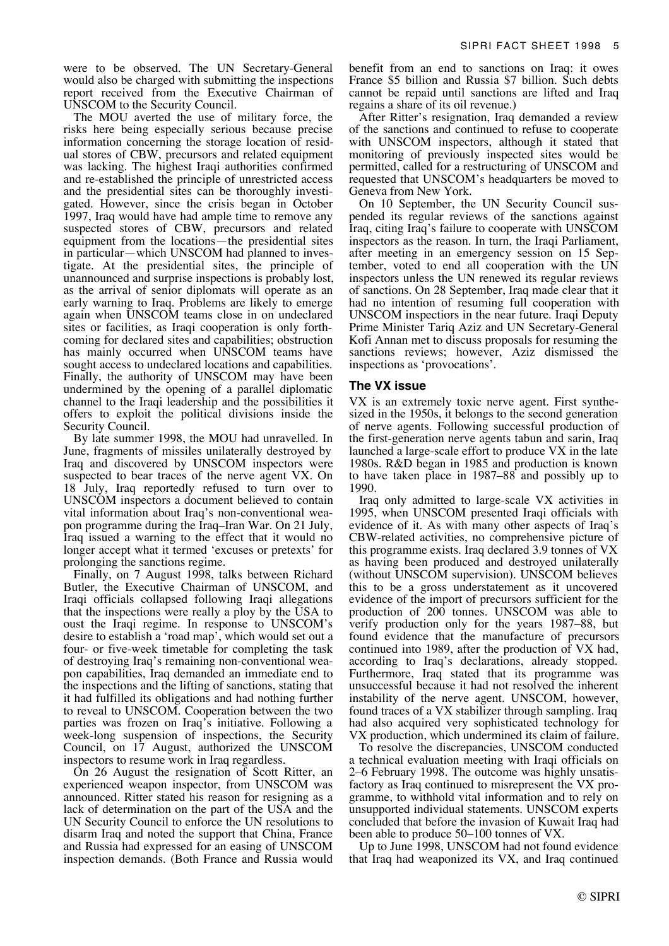were to be observed. The UN Secretary-General would also be charged with submitting the inspections report received from the Executive Chairman of UNSCOM to the Security Council.

The MOU averted the use of military force, the risks here being especially serious because precise information concerning the storage location of residual stores of CBW, precursors and related equipment was lacking. The highest Iraqi authorities confirmed and re-established the principle of unrestricted access and the presidential sites can be thoroughly investigated. However, since the crisis began in October 1997, Iraq would have had ample time to remove any suspected stores of CBW, precursors and related equipment from the locations—the presidential sites in particular—which UNSCOM had planned to investigate. At the presidential sites, the principle of unannounced and surprise inspections is probably lost, as the arrival of senior diplomats will operate as an early warning to Iraq. Problems are likely to emerge again when UNSCOM teams close in on undeclared sites or facilities, as Iraqi cooperation is only forthcoming for declared sites and capabilities; obstruction has mainly occurred when UNSCOM teams have sought access to undeclared locations and capabilities. Finally, the authority of UNSCOM may have been undermined by the opening of a parallel diplomatic channel to the Iraqi leadership and the possibilities it offers to exploit the political divisions inside the Security Council.

By late summer 1998, the MOU had unravelled. In June, fragments of missiles unilaterally destroyed by Iraq and discovered by UNSCOM inspectors were suspected to bear traces of the nerve agent VX. On 18 July, Iraq reportedly refused to turn over to UNSCOM inspectors a document believed to contain vital information about Iraq's non-conventional weapon programme during the Iraq–Iran War. On 21 July, Iraq issued a warning to the effect that it would no longer accept what it termed 'excuses or pretexts' for prolonging the sanctions regime.

Finally, on 7 August 1998, talks between Richard Butler, the Executive Chairman of UNSCOM, and Iraqi officials collapsed following Iraqi allegations that the inspections were really a ploy by the USA to oust the Iraqi regime. In response to UNSCOM's desire to establish a 'road map', which would set out a four- or five-week timetable for completing the task of destroying Iraq's remaining non-conventional weapon capabilities, Iraq demanded an immediate end to the inspections and the lifting of sanctions, stating that it had fulfilled its obligations and had nothing further to reveal to UNSCOM. Cooperation between the two parties was frozen on Iraq's initiative. Following a week-long suspension of inspections, the Security Council, on 17 August, authorized the UNSCOM inspectors to resume work in Iraq regardless.

On 26 August the resignation of Scott Ritter, an experienced weapon inspector, from UNSCOM was announced. Ritter stated his reason for resigning as a lack of determination on the part of the USA and the UN Security Council to enforce the UN resolutions to disarm Iraq and noted the support that China, France and Russia had expressed for an easing of UNSCOM inspection demands. (Both France and Russia would benefit from an end to sanctions on Iraq: it owes France \$5 billion and Russia \$7 billion. Such debts cannot be repaid until sanctions are lifted and Iraq regains a share of its oil revenue.)

After Ritter's resignation, Iraq demanded a review of the sanctions and continued to refuse to cooperate with UNSCOM inspectors, although it stated that monitoring of previously inspected sites would be permitted, called for a restructuring of UNSCOM and requested that UNSCOM's headquarters be moved to Geneva from New York.

On 10 September, the UN Security Council suspended its regular reviews of the sanctions against Iraq, citing Iraq's failure to cooperate with UNSCOM inspectors as the reason. In turn, the Iraqi Parliament, after meeting in an emergency session on 15 September, voted to end all cooperation with the UN inspectors unless the UN renewed its regular reviews of sanctions. On 28 September, Iraq made clear that it had no intention of resuming full cooperation with UNSCOM inspectiors in the near future. Iraqi Deputy Prime Minister Tariq Aziz and UN Secretary-General Kofi Annan met to discuss proposals for resuming the sanctions reviews; however, Aziz dismissed the inspections as 'provocations'.

#### **The VX issue**

VX is an extremely toxic nerve agent. First synthesized in the 1950s, it belongs to the second generation of nerve agents. Following successful production of the first-generation nerve agents tabun and sarin, Iraq launched a large-scale effort to produce VX in the late 1980s. R&D began in 1985 and production is known to have taken place in 1987–88 and possibly up to 1990.

Iraq only admitted to large-scale VX activities in 1995, when UNSCOM presented Iraqi officials with evidence of it. As with many other aspects of Iraq's CBW-related activities, no comprehensive picture of this programme exists. Iraq declared 3.9 tonnes of VX as having been produced and destroyed unilaterally (without UNSCOM supervision). UNSCOM believes this to be a gross understatement as it uncovered evidence of the import of precursors sufficient for the production of 200 tonnes. UNSCOM was able to verify production only for the years 1987–88, but found evidence that the manufacture of precursors continued into 1989, after the production of VX had, according to Iraq's declarations, already stopped. Furthermore, Iraq stated that its programme was unsuccessful because it had not resolved the inherent instability of the nerve agent. UNSCOM, however, found traces of a VX stabilizer through sampling. Iraq had also acquired very sophisticated technology for VX production, which undermined its claim of failure.

To resolve the discrepancies, UNSCOM conducted a technical evaluation meeting with Iraqi officials on 2–6 February 1998. The outcome was highly unsatisfactory as Iraq continued to misrepresent the VX programme, to withhold vital information and to rely on unsupported individual statements. UNSCOM experts concluded that before the invasion of Kuwait Iraq had been able to produce 50–100 tonnes of VX.

Up to June 1998, UNSCOM had not found evidence that Iraq had weaponized its VX, and Iraq continued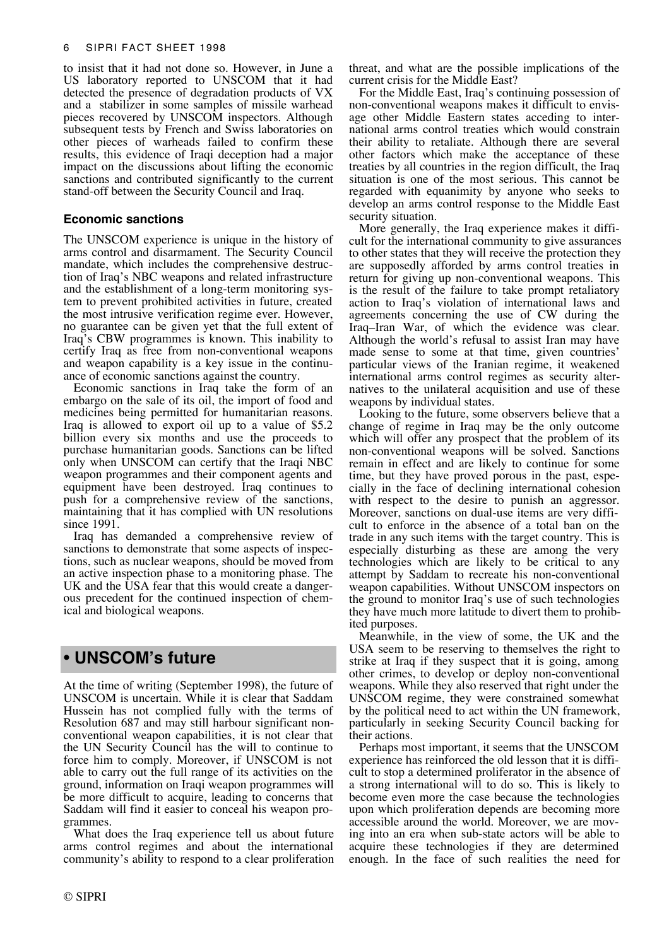to insist that it had not done so. However, in June a US laboratory reported to UNSCOM that it had detected the presence of degradation products of VX and a stabilizer in some samples of missile warhead pieces recovered by UNSCOM inspectors. Although subsequent tests by French and Swiss laboratories on other pieces of warheads failed to confirm these results, this evidence of Iraqi deception had a major impact on the discussions about lifting the economic sanctions and contributed significantly to the current stand-off between the Security Council and Iraq.

### **Economic sanctions** security situation.

The UNSCOM experience is unique in the history of arms control and disarmament. The Security Council mandate, which includes the comprehensive destruction of Iraq's NBC weapons and related infrastructure and the establishment of a long-term monitoring system to prevent prohibited activities in future, created the most intrusive verification regime ever. However, no guarantee can be given yet that the full extent of Iraq's CBW programmes is known. This inability to certify Iraq as free from non-conventional weapons and weapon capability is a key issue in the continuance of economic sanctions against the country.

Economic sanctions in Iraq take the form of an embargo on the sale of its oil, the import of food and medicines being permitted for humanitarian reasons. Iraq is allowed to export oil up to a value of \$5.2 billion every six months and use the proceeds to purchase humanitarian goods. Sanctions can be lifted only when UNSCOM can certify that the Iraqi NBC weapon programmes and their component agents and equipment have been destroyed. Iraq continues to push for a comprehensive review of the sanctions, maintaining that it has complied with UN resolutions since 1991.

Iraq has demanded a comprehensive review of sanctions to demonstrate that some aspects of inspections, such as nuclear weapons, should be moved from an active inspection phase to a monitoring phase. The UK and the USA fear that this would create a dangerous precedent for the continued inspection of chemical and biological weapons.

# **• UNSCOM's future**

At the time of writing (September 1998), the future of UNSCOM is uncertain. While it is clear that Saddam Hussein has not complied fully with the terms of Resolution 687 and may still harbour significant nonconventional weapon capabilities, it is not clear that the UN Security Council has the will to continue to force him to comply. Moreover, if UNSCOM is not able to carry out the full range of its activities on the ground, information on Iraqi weapon programmes will be more difficult to acquire, leading to concerns that Saddam will find it easier to conceal his weapon programmes.

What does the Iraq experience tell us about future arms control regimes and about the international community's ability to respond to a clear proliferation

threat, and what are the possible implications of the current crisis for the Middle East?

For the Middle East, Iraq's continuing possession of non-conventional weapons makes it difficult to envisage other Middle Eastern states acceding to international arms control treaties which would constrain their ability to retaliate. Although there are several other factors which make the acceptance of these treaties by all countries in the region difficult, the Iraq situation is one of the most serious. This cannot be regarded with equanimity by anyone who seeks to develop an arms control response to the Middle East

More generally, the Iraq experience makes it difficult for the international community to give assurances to other states that they will receive the protection they are supposedly afforded by arms control treaties in return for giving up non-conventional weapons. This is the result of the failure to take prompt retaliatory action to Iraq's violation of international laws and agreements concerning the use of CW during the Iraq–Iran War, of which the evidence was clear. Although the world's refusal to assist Iran may have made sense to some at that time, given countries' particular views of the Iranian regime, it weakened international arms control regimes as security alternatives to the unilateral acquisition and use of these weapons by individual states.

Looking to the future, some observers believe that a change of regime in Iraq may be the only outcome which will offer any prospect that the problem of its non-conventional weapons will be solved. Sanctions remain in effect and are likely to continue for some time, but they have proved porous in the past, especially in the face of declining international cohesion with respect to the desire to punish an aggressor. Moreover, sanctions on dual-use items are very difficult to enforce in the absence of a total ban on the trade in any such items with the target country. This is especially disturbing as these are among the very technologies which are likely to be critical to any attempt by Saddam to recreate his non-conventional weapon capabilities. Without UNSCOM inspectors on the ground to monitor Iraq's use of such technologies they have much more latitude to divert them to prohibited purposes.

Meanwhile, in the view of some, the UK and the USA seem to be reserving to themselves the right to strike at Iraq if they suspect that it is going, among other crimes, to develop or deploy non-conventional weapons. While they also reserved that right under the UNSCOM regime, they were constrained somewhat by the political need to act within the UN framework, particularly in seeking Security Council backing for their actions.

Perhaps most important, it seems that the UNSCOM experience has reinforced the old lesson that it is difficult to stop a determined proliferator in the absence of a strong international will to do so. This is likely to become even more the case because the technologies upon which proliferation depends are becoming more accessible around the world. Moreover, we are moving into an era when sub-state actors will be able to acquire these technologies if they are determined enough. In the face of such realities the need for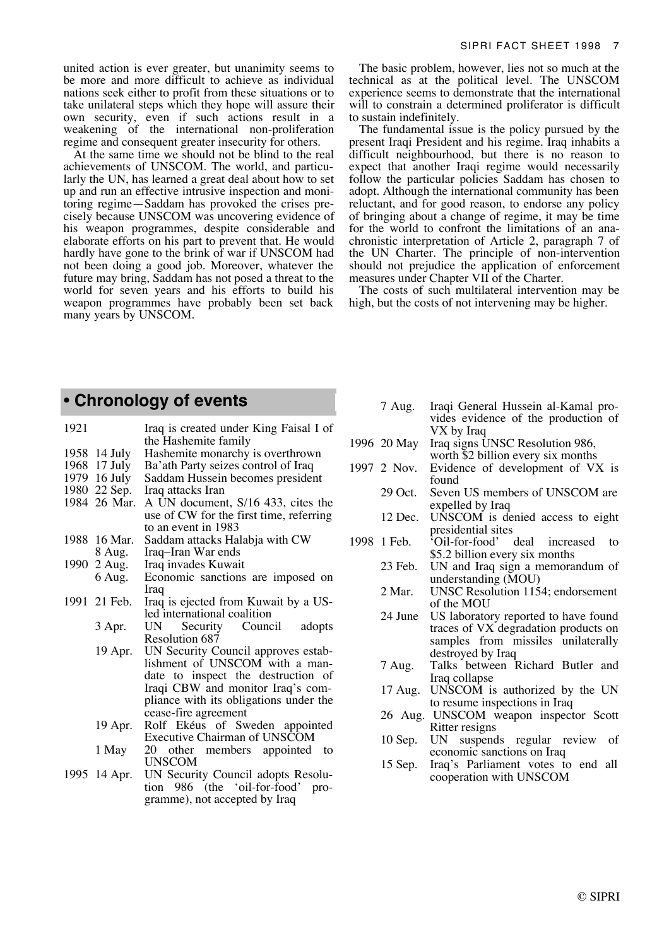united action is ever greater, but unanimity seems to be more and more difficult to achieve as individual nations seek either to profit from these situations or to take unilateral steps which they hope will assure their own security, even if such actions result in a weakening of the international non-proliferation regime and consequent greater insecurity for others.

At the same time we should not be blind to the real achievements of UNSCOM. The world, and particularly the UN, has learned a great deal about how to set up and run an effective intrusive inspection and monitoring regime—Saddam has provoked the crises precisely because UNSCOM was uncovering evidence of his weapon programmes, despite considerable and elaborate efforts on his part to prevent that. He would hardly have gone to the brink of war if UNSCOM had not been doing a good job. Moreover, whatever the future may bring, Saddam has not posed a threat to the world for seven years and his efforts to build his weapon programmes have probably been set back many years by UNSCOM.

The basic problem, however, lies not so much at the technical as at the political level. The UNSCOM experience seems to demonstrate that the international will to constrain a determined proliferator is difficult to sustain indefinitely.

The fundamental issue is the policy pursued by the present Iraqi President and his regime. Iraq inhabits a difficult neighbourhood, but there is no reason to expect that another Iraqi regime would necessarily follow the particular policies Saddam has chosen to adopt. Although the international community has been reluctant, and for good reason, to endorse any policy of bringing about a change of regime, it may be time for the world to confront the limitations of an anachronistic interpretation of Article 2, paragraph 7 of the UN Charter. The principle of non-intervention should not prejudice the application of enforcement measures under Chapter VII of the Charter.

The costs of such multilateral intervention may be high, but the costs of not intervening may be higher.

### • **Chronology of events** 7 Aug. Iraqi General Hussein al-Kamal pro-

|      |              |                                         |             | vides evidence of the production of   |
|------|--------------|-----------------------------------------|-------------|---------------------------------------|
| 1921 |              | Iraq is created under King Faisal I of  |             | VX by Iraq                            |
|      |              | the Hashemite family                    | 1996 20 May | Iraq signs UNSC Resolution 986,       |
|      | 1958 14 July | Hashemite monarchy is overthrown        |             | worth \$2 billion every six months    |
|      | 1968 17 July | Ba'ath Party seizes control of Iraq     | 1997 2 Nov. | Evidence of development of VX is      |
|      | 1979 16 July | Saddam Hussein becomes president        |             | found                                 |
|      | 1980 22 Sep. | Iraq attacks Iran                       | 29 Oct.     | Seven US members of UNSCOM are        |
|      | 1984 26 Mar. | A UN document, S/16 433, cites the      |             | expelled by Iraq                      |
|      |              | use of CW for the first time, referring | 12 Dec.     | UNSCOM is denied access to eight      |
|      |              | to an event in 1983                     |             | presidential sites                    |
|      | 1988 16 Mar. | Saddam attacks Halabja with CW          | 1998 1 Feb. | Oil-for-food' deal increased<br>to    |
|      | 8 Aug.       | Iraq-Iran War ends                      |             | \$5.2 billion every six months        |
|      | 1990 2 Aug.  | Iraq invades Kuwait                     | 23 Feb.     | UN and Iraq sign a memorandum of      |
|      | 6 Aug.       | Economic sanctions are imposed on       |             | understanding (MOU)                   |
|      |              | Iraq                                    | 2 Mar.      | UNSC Resolution 1154; endorsement     |
|      | 1991 21 Feb. | Iraq is ejected from Kuwait by a US-    |             | of the MOU                            |
|      |              | led international coalition             | 24 June     | US laboratory reported to have found  |
|      | 3 Apr.       | UN.<br>Security<br>Council<br>adopts    |             | traces of VX degradation products on  |
|      |              | Resolution 687                          |             | samples from missiles unilaterally    |
|      | 19 Apr.      | UN Security Council approves estab-     |             | destroyed by Iraq                     |
|      |              | lishment of UNSCOM with a man-          | 7 Aug.      | Talks between Richard Butler and      |
|      |              | date to inspect the destruction of      |             | Iraq collapse                         |
|      |              | Iraqi CBW and monitor Iraq's com-       | 17 Aug.     | UNSCOM is authorized by the UN        |
|      |              | pliance with its obligations under the  |             | to resume inspections in Iraq         |
|      |              | cease-fire agreement                    |             | 26 Aug. UNSCOM weapon inspector Scott |
|      | 19 Apr.      | Rolf Ekéus of Sweden appointed          |             | Ritter resigns                        |
|      |              | Executive Chairman of UNSCOM            | 10 Sep.     | UN suspends regular review of         |
|      | 1 May        | 20 other members appointed to           |             | economic sanctions on Iraq            |
|      |              | <b>UNSCOM</b>                           | 15 Sep.     | Iraq's Parliament votes to end all    |
|      | 1995 14 Apr. | UN Security Council adopts Resolu-      |             | cooperation with UNSCOM               |
|      |              | tion 986 (the 'oil-for-food' pro-       |             |                                       |
|      |              | gramme), not accepted by Iraq           |             |                                       |

- 
- 
- - 29 Oct. Seven US members of UNSCOM are expelled by Iraq
	- 12 Dec. UNSCOM is denied access to eight presidential sites
	-
	-
	- of the MOU<br>
	24 June US laboratory reported to have found
	- traces of VX degradation products on samples from missiles unilaterally destroyed by Iraq
	- 7 Aug. Talks between Richard Butler and Iraq collapse
	- 17 Aug. UNSCOM is authorized by the UN to resume inspections in Iraq
	-
	-
	-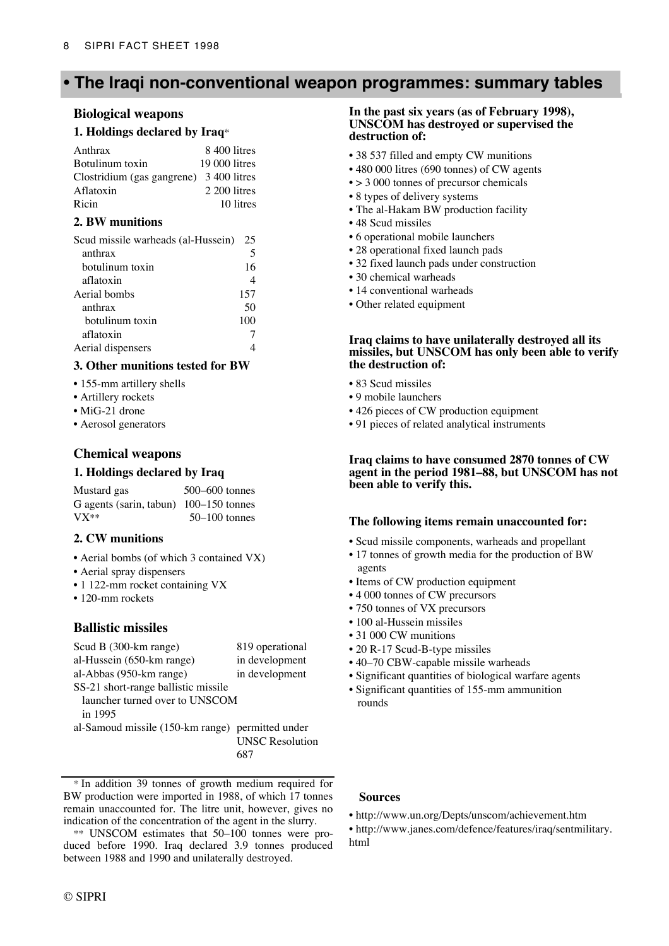## **• The Iraqi non-conventional weapon programmes: summary tables**

### **destruction of: 1. Holdings declared by Iraq**\*

| Anthrax                                 | 8 400 litres  | • 38 537 filled and empty CW munitions          |
|-----------------------------------------|---------------|-------------------------------------------------|
| Botulinum toxin                         | 19 000 litres | • 480 000 litres (690 tonnes) of CW agents      |
| Clostridium (gas gangrene) 3 400 litres |               | $\bullet$ > 3 000 tonnes of precursor chemicals |
| Aflatoxin                               | 2 200 litres  | • 8 types of delivery systems                   |
| Ricin                                   | 10 litres     | • The al-Hakam BW production facility           |

#### **2. BW munitions** • 48 Scud missiles

| Scud missile warheads (al-Hussein) | 25  |
|------------------------------------|-----|
| anthrax                            | 5   |
| botulinum toxin                    | 16  |
| aflatoxin                          |     |
| Aerial bombs                       | 157 |
| anthrax                            | 50  |
| botulinum toxin                    | 100 |
| aflatoxin                          |     |
| Aerial dispensers                  |     |
|                                    |     |

### **3. Other munitions tested for BW**

- 155-mm artillery shells 83 Scud missiles
- 
- 
- 

#### **1. Holdings declared by Iraq**

| Mustard gas                            | $500 - 600$ tonnes |
|----------------------------------------|--------------------|
| G agents (sarin, tabun) 100–150 tonnes |                    |
| $V X^{**}$                             | $50-100$ tonnes    |

- Aerial bombs (of which 3 contained VX)
- 
- 
- 

| Scud B (300-km range)                            | 819 operational        | $\bullet$ 20 R-1   |
|--------------------------------------------------|------------------------|--------------------|
| al-Hussein (650-km range)                        | in development         | $\cdot$ 40–70      |
| al-Abbas (950-km range)                          | in development         | $\bullet$ Signific |
| SS-21 short-range ballistic missile              |                        | $\bullet$ Signific |
| launcher turned over to UNSCOM                   |                        | rounds             |
| in 1995                                          |                        |                    |
| al-Samoud missile (150-km range) permitted under |                        |                    |
|                                                  | <b>UNSC</b> Resolution |                    |
|                                                  | 687                    |                    |

\* In addition 39 tonnes of growth medium required for BW production were imported in 1988, of which 17 tonnes remain unaccounted for. The litre unit, however, gives no indication of the concentration of the agent in the slurry.

duced before 1990. Iraq declared 3.9 tonnes produced between 1988 and 1990 and unilaterally destroyed.

# **Biological weapons In the past six years (as of February 1998), UNSCOM has destroyed or supervised the**

- 
- 
- 
- 
- 
- 
- $\bullet$  6 operational mobile launchers
- 28 operational fixed launch pads
- $\cdot$  32 fixed launch pads under construction
- $\cdot$  30 chemical warheads
- 14 conventional warheads
- Other related equipment

#### Iraq claims to have unilaterally destroyed all its **missiles, but UNSCOM has only been able to verify the destruction of:**

- 
- Artillery rockets 9 mobile launchers
- MiG-21 drone 426 pieces of CW production equipment
- Aerosol generators 91 pieces of related analytical instruments

### **Chemical weapons Iraq claims to have consumed 2870 tonnes of CW agent in the period 1981–88, but UNSCOM has not been able to verify this.**

#### The following items remain unaccounted for:

- **2. CW munitions** Scud missile components, warheads and propellant
	- 17 tonnes of growth media for the production of BW agents
- Aerial spray dispensers  **1 122-mm rocket containing VX** Items of CW production equipment
- 120-mm rockets **•** 120-mm rockets 120-mm rockets 120-mm rockets 120-mm rockets 120-mm rockets 120-mm **· 120-mm · 120-mm · 120-mm · 120-mm · 120-mm · 120-mm · 120-mm · 120-mm · 120-mm · 120-mm** 
	- 750 tonnes of VX precursors
- **Ballistic missiles** 100 al-Hussein missiles
	- 31 000 CW munitions
	- $\cdot$  20 R-17 Scud-B-type missiles
	- 40–70 CBW-capable missile warheads
	- Significant quantities of biological warfare agents
	- Significant quantities of 155-mm ammunition

#### **Sources**

• http://www.un.org/Depts/unscom/achievement.htm

<sup>\*\*</sup> UNSCOM estimates that 50–100 tonnes were pro-<br>\*\* UNSCOM estimates that 50–100 tonnes were prohtml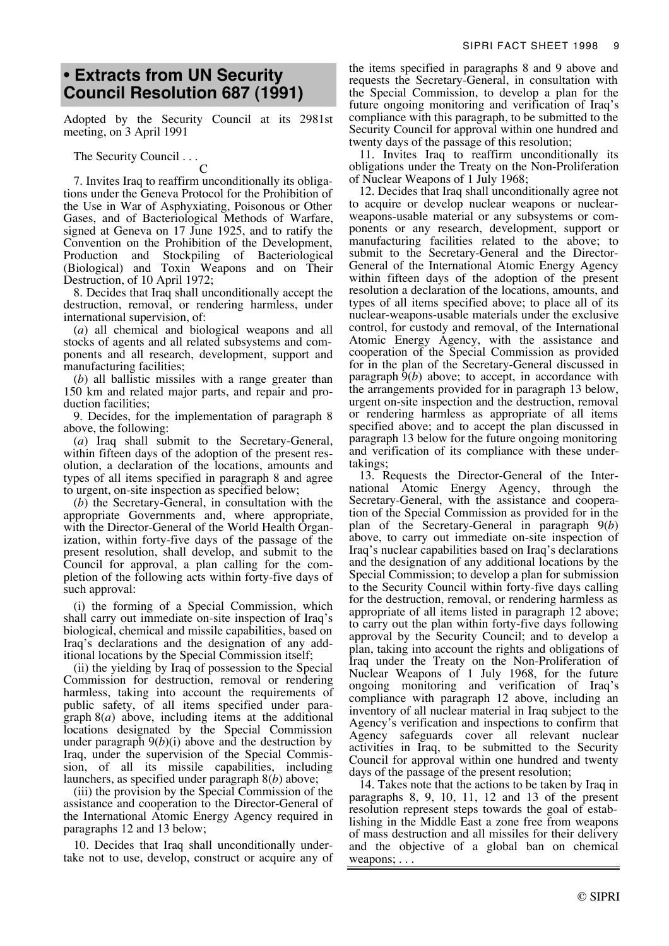### **• Extracts from UN Security Council Resolution 687 (1991)**

Adopted by the Security Council at its 2981st meeting, on 3 April 1991

The Security Council . . .

 $\mathcal{C}_{0}^{(n)}$ 7. Invites Iraq to reaffirm unconditionally its obligations under the Geneva Protocol for the Prohibition of the Use in War of Asphyxiating, Poisonous or Other Gases, and of Bacteriological Methods of Warfare, signed at Geneva on 17 June 1925, and to ratify the Convention on the Prohibition of the Development,<br>Production and Stockpiling of Bacteriological Stockpiling of Bacteriological (Biological) and Toxin Weapons and on Their Destruction, of 10 April 1972;

8. Decides that Iraq shall unconditionally accept the destruction, removal, or rendering harmless, under international supervision, of:

(*a*) all chemical and biological weapons and all stocks of agents and all related subsystems and components and all research, development, support and manufacturing facilities;

(*b*) all ballistic missiles with a range greater than 150 km and related major parts, and repair and production facilities;

9. Decides, for the implementation of paragraph 8 above, the following:

(*a*) Iraq shall submit to the Secretary-General, within fifteen days of the adoption of the present resolution, a declaration of the locations, amounts and types of all items specified in paragraph 8 and agree to urgent, on-site inspection as specified below;

(*b*) the Secretary-General, in consultation with the appropriate Governments and, where appropriate, with the Director-General of the World Health Organization, within forty-five days of the passage of the present resolution, shall develop, and submit to the Council for approval, a plan calling for the completion of the following acts within forty-five days of such approval:

(i) the forming of a Special Commission, which shall carry out immediate on-site inspection of Iraq's biological, chemical and missile capabilities, based on Iraq's declarations and the designation of any additional locations by the Special Commission itself;

(ii) the yielding by Iraq of possession to the Special Commission for destruction, removal or rendering harmless, taking into account the requirements of public safety, of all items specified under paragraph 8(*a*) above, including items at the additional locations designated by the Special Commission under paragraph  $9(b)(i)$  above and the destruction by Iraq, under the supervision of the Special Commission, of all its missile capabilities, including launchers, as specified under paragraph 8(*b*) above;

(iii) the provision by the Special Commission of the assistance and cooperation to the Director-General of the International Atomic Energy Agency required in paragraphs 12 and 13 below;

10. Decides that Iraq shall unconditionally undertake not to use, develop, construct or acquire any of the items specified in paragraphs 8 and 9 above and requests the Secretary-General, in consultation with the Special Commission, to develop a plan for the future ongoing monitoring and verification of Iraq's compliance with this paragraph, to be submitted to the Security Council for approval within one hundred and twenty days of the passage of this resolution;

11. Invites Iraq to reaffirm unconditionally its obligations under the Treaty on the Non-Proliferation of Nuclear Weapons of 1 July 1968;

12. Decides that Iraq shall unconditionally agree not to acquire or develop nuclear weapons or nuclearweapons-usable material or any subsystems or components or any research, development, support or manufacturing facilities related to the above; to submit to the Secretary-General and the Director-General of the International Atomic Energy Agency within fifteen days of the adoption of the present resolution a declaration of the locations, amounts, and types of all items specified above; to place all of its nuclear-weapons-usable materials under the exclusive control, for custody and removal, of the International Atomic Energy Agency, with the assistance and cooperation of the Special Commission as provided for in the plan of the Secretary-General discussed in paragraph  $\hat{9}(b)$  above; to accept, in accordance with the arrangements provided for in paragraph 13 below, urgent on-site inspection and the destruction, removal or rendering harmless as appropriate of all items specified above; and to accept the plan discussed in paragraph 13 below for the future ongoing monitoring and verification of its compliance with these undertakings;

13. Requests the Director-General of the International Atomic Energy Agency, through the Secretary-General, with the assistance and cooperation of the Special Commission as provided for in the plan of the Secretary-General in paragraph 9(*b*) above, to carry out immediate on-site inspection of Iraq's nuclear capabilities based on Iraq's declarations and the designation of any additional locations by the Special Commission; to develop a plan for submission to the Security Council within forty-five days calling for the destruction, removal, or rendering harmless as appropriate of all items listed in paragraph 12 above; to carry out the plan within forty-five days following approval by the Security Council; and to develop a plan, taking into account the rights and obligations of Iraq under the Treaty on the Non-Proliferation of Nuclear Weapons of 1 July 1968, for the future ongoing monitoring and verification of Iraq's compliance with paragraph 12 above, including an inventory of all nuclear material in Iraq subject to the Agency's verification and inspections to confirm that Agency safeguards cover all relevant nuclear activities in Iraq, to be submitted to the Security Council for approval within one hundred and twenty days of the passage of the present resolution;<br>14. Takes note that the actions to be taken by Iraq in

paragraphs 8, 9, 10, 11, 12 and 13 of the present resolution represent steps towards the goal of establishing in the Middle East a zone free from weapons of mass destruction and all missiles for their delivery and the objective of a global ban on chemical weapons; . . .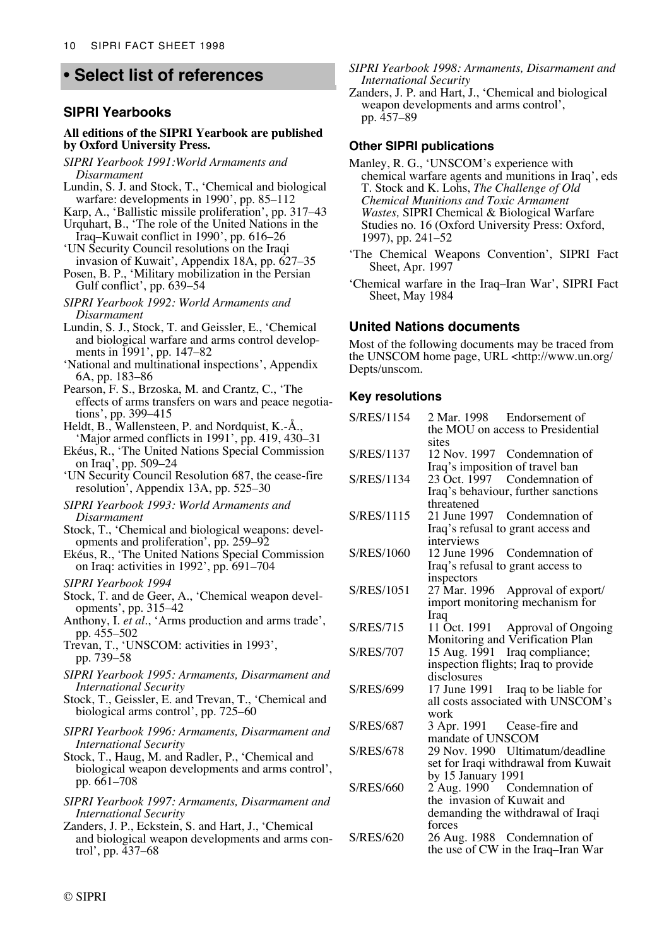#### **All editions of the SIPRI Yearbook are published by Oxford University Press.**

*SIPRI Yearbook 1991:World Armaments and Disarmament*

- Lundin, S. J. and Stock, T., 'Chemical and biological warfare: developments in 1990', pp. 85–112
- Karp, A., 'Ballistic missile proliferation', pp. 317–43 Urquhart, B., 'The role of the United Nations in the
- Iraq–Kuwait conflict in 1990', pp. 616–26 'UN Security Council resolutions on the Iraqi
- 
- Posen, B. P., 'Military mobilization in the Persian
- SIPRI Yearbook 1992: World Armaments and *Disarmament*
- Lundin, S. J., Stock, T. and Geissler, E., 'Chemical **United Nations documents** and biological warfare and arms control developments in 1991', pp. 147–82
- 'National and multinational inspections', Appendix Depts/unscom. 6A, pp. 183–86
- **Key resolutions** Pearson, F. S., Brzoska, M. and Crantz, C., 'The effects of arms transfers on wars and peace negotiations', pp. 399-415
- Heldt, B., Wallensteen, P. and Nordquist, K.-Å. 'Major armed conflicts in 1991', pp. 419, 430–31
- Ekéus, R., 'The United Nations Special Commission on Iraq', pp. 509–24
- 'UN Security Council Resolution 687, the cease-fire resolution', Appendix 13A, pp. 525–30
- *SIPRI Yearbook 1993: World Armaments and*
- Stock, T., 'Chemical and biological weapons: developments and proliferation', pp. 259–92
- Ekéus, R., 'The United Nations Special Commission on Iraq: activities in 1992', pp. 691–704
- 
- opments', pp. 315–42
- pp. 455–502<br>Trevan, T., 'UNSCOM: activities in 1993',
- 
- pp. 739–58<br>*SIPRI Yearbook 1995: Armaments, Disarmament and International Security*
- Stock, T., Geissler, E. and Trevan, T., 'Chemical and biological arms control', pp. 725–60
- SIPRI Yearbook 1996: Armaments, Disarmament and<br>International Security
- biological weapon developments and arms control',
- *SIPRI Yearbook 1997: Armaments, Disarmament and International Security*
- Zanders, J. P., Eckstein, S. and Hart, J., 'Chemical and biological weapon developments and arms control', pp. 437–68

**• Select list of references** *SIPRI Yearbook 1998: Armaments, Disarmament and International Security*

Zanders, J. P. and Hart, J., 'Chemical and biological **SIPRI Yearbooks** being pp. 457–89 between the settlements and arms control', pp. 457–89

#### **Other SIPRI publications**

- Manley, R. G., 'UNSCOM's experience with chemical warfare agents and munitions in Iraq', eds T. Stock and K. Lohs, *The Challenge of Old Chemical Munitions and Toxic Armament Wastes,* SIPRI Chemical & Biological Warfare Studies no. 16 (Oxford University Press: Oxford, 1997), pp. 241–52
- In security Council resolutions on the Haqi<br>invasion of Kuwait', Appendix 18A, pp. 627–35 Sheet, Apr. 1997
- Gulf conflict', pp. 639–54 'Chemical warfare in the Iraq–Iran War', SIPRI Fact<br>Sheet, May 1984 Sheet, May 1984

Most of the following documents may be traced from the UNSCOM home page, URL <http://www.un.org/

| tions', pp. $399 - 415$                                                            | S/RES/1154        | 2 Mar. 1998<br>Endorsement of                           |
|------------------------------------------------------------------------------------|-------------------|---------------------------------------------------------|
| Heldt, B., Wallensteen, P. and Nordquist, K.-Å.,                                   |                   | the MOU on access to Presidential                       |
| 'Major armed conflicts in 1991', pp. 419, 430–31                                   |                   | sites                                                   |
| Ekéus, R., 'The United Nations Special Commission                                  | <b>S/RES/1137</b> | 12 Nov. 1997 Condemnation of                            |
| on Iraq', pp. 509–24                                                               |                   | Iraq's imposition of travel ban                         |
| 'UN Security Council Resolution 687, the cease-fire                                | S/RES/1134        | Condemnation of<br>23 Oct. 1997                         |
| resolution', Appendix 13A, pp. 525–30                                              |                   | Iraq's behaviour, further sanctions                     |
| SIPRI Yearbook 1993: World Armaments and                                           |                   | threatened                                              |
| Disarmament                                                                        | S/RES/1115        | 21 June 1997 Condemnation of                            |
| Stock, T., 'Chemical and biological weapons: devel-                                |                   | Iraq's refusal to grant access and                      |
| opments and proliferation', pp. 259–92                                             |                   | interviews                                              |
| Ekéus, R., 'The United Nations Special Commission                                  | S/RES/1060        | 12 June 1996 Condemnation of                            |
| on Iraq: activities in 1992', pp. 691-704                                          |                   | Iraq's refusal to grant access to                       |
| SIPRI Yearbook 1994                                                                |                   | inspectors                                              |
| Stock, T. and de Geer, A., 'Chemical weapon devel-                                 | <b>S/RES/1051</b> | 27 Mar. 1996 Approval of export/                        |
| opments', pp. 315–42                                                               |                   | import monitoring mechanism for                         |
| Anthony, I. et al., 'Arms production and arms trade',                              | <b>S/RES/715</b>  | Iraq<br>11 Oct. 1991                                    |
| pp. 455-502                                                                        |                   | Approval of Ongoing<br>Monitoring and Verification Plan |
| Trevan, T., 'UNSCOM: activities in 1993',                                          | <b>S/RES/707</b>  | 15 Aug. 1991 Iraq compliance;                           |
| pp. 739–58                                                                         |                   | inspection flights; Iraq to provide                     |
| SIPRI Yearbook 1995: Armaments, Disarmament and                                    |                   | disclosures                                             |
| <b>International Security</b>                                                      | <b>S/RES/699</b>  | 17 June 1991 Iraq to be liable for                      |
| Stock, T., Geissler, E. and Trevan, T., 'Chemical and                              |                   | all costs associated with UNSCOM's                      |
| biological arms control', pp. 725–60                                               |                   | work                                                    |
|                                                                                    | <b>S/RES/687</b>  | 3 Apr. 1991 Cease-fire and                              |
| SIPRI Yearbook 1996: Armaments, Disarmament and                                    |                   | mandate of UNSCOM                                       |
| <b>International Security</b><br>Stock, T., Haug, M. and Radler, P., 'Chemical and | <b>S/RES/678</b>  | 29 Nov. 1990 Ultimatum/deadline                         |
| biological weapon developments and arms control',                                  |                   | set for Iraqi withdrawal from Kuwait                    |
| pp. 661–708                                                                        |                   | by 15 January 1991                                      |
|                                                                                    | <b>S/RES/660</b>  | 2 Aug. 1990<br>Condemnation of                          |
| SIPRI Yearbook 1997: Armaments, Disarmament and                                    |                   | the invasion of Kuwait and                              |
| <b>International Security</b>                                                      |                   | demanding the withdrawal of Iraqi                       |
| Zanders, J. P., Eckstein, S. and Hart, J., 'Chemical                               |                   | forces                                                  |
| and biological weapon developments and arms con-                                   | <b>S/RES/620</b>  | 26 Aug. 1988 Condemnation of                            |
| trol', pp. $437-68$                                                                |                   | the use of CW in the Iraq–Iran War                      |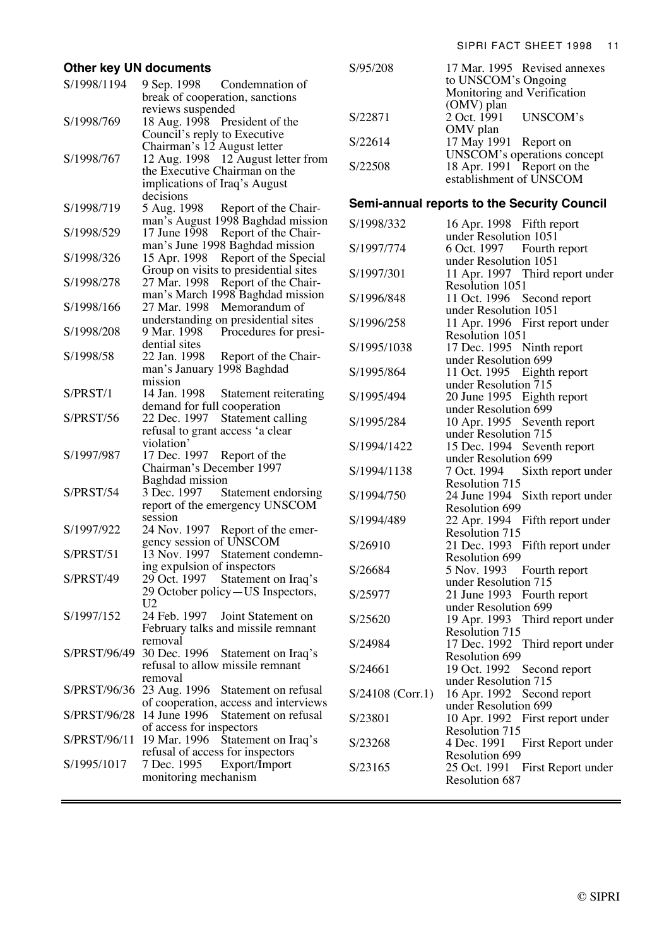#### **Other key UN documents**

| S/1998/1194  | 9 Sep. 1998 Condemnation of                       |                  | to UNSCOM's Ongoing                         |
|--------------|---------------------------------------------------|------------------|---------------------------------------------|
|              | break of cooperation, sanctions                   |                  | Monitoring and Verification                 |
|              | reviews suspended                                 |                  | (OMV) plan                                  |
| S/1998/769   | 18 Aug. 1998 President of the                     | S/22871          | 2 Oct. 1991<br>UNSCOM's                     |
|              |                                                   |                  | OMV plan                                    |
|              | Council's reply to Executive                      | S/22614          | 17 May 1991 Report on                       |
|              | Chairman's 12 August letter                       |                  | UNSCOM's operations concept                 |
| S/1998/767   | 12 Aug. 1998 12 August letter from                | S/22508          | 18 Apr. 1991 Report on the                  |
|              | the Executive Chairman on the                     |                  |                                             |
|              | implications of Iraq's August                     |                  | establishment of UNSCOM                     |
|              | decisions                                         |                  |                                             |
| S/1998/719   | 5 Aug. 1998 Report of the Chair-                  |                  | Semi-annual reports to the Security Council |
|              | man's August 1998 Baghdad mission                 | S/1998/332       |                                             |
| S/1998/529   | 17 June 1998 Report of the Chair-                 |                  | 16 Apr. 1998 Fifth report                   |
|              | man's June 1998 Baghdad mission                   |                  | under Resolution 1051                       |
| S/1998/326   | 15 Apr. 1998 Report of the Special                | S/1997/774       | 6 Oct. 1997<br>Fourth report                |
|              |                                                   |                  | under Resolution 1051                       |
|              | Group on visits to presidential sites             | S/1997/301       | 11 Apr. 1997 Third report under             |
| S/1998/278   | 27 Mar. 1998 Report of the Chair-                 |                  | Resolution 1051                             |
|              | man's March 1998 Baghdad mission                  | S/1996/848       | 11 Oct. 1996 Second report                  |
| S/1998/166   | 27 Mar. 1998 Memorandum of                        |                  | under Resolution 1051                       |
|              | understanding on presidential sites               | S/1996/258       | 11 Apr. 1996 First report under             |
| S/1998/208   | 9 Mar. 1998<br>Procedures for presi-              |                  | Resolution 1051                             |
|              | dential sites                                     | S/1995/1038      | 17 Dec. 1995 Ninth report                   |
| S/1998/58    | 22 Jan. 1998<br>Report of the Chair-              |                  | under Resolution 699                        |
|              | man's January 1998 Baghdad                        |                  |                                             |
|              | mission                                           | S/1995/864       | 11 Oct. 1995 Eighth report                  |
| S/PRST/1     | 14 Jan. 1998 Statement reiterating                |                  | under Resolution 715                        |
|              |                                                   | S/1995/494       | 20 June 1995 Eighth report                  |
|              | demand for full cooperation                       |                  | under Resolution 699                        |
| S/PRST/56    | 22 Dec. 1997 Statement calling                    | S/1995/284       | 10 Apr. 1995 Seventh report                 |
|              | refusal to grant access 'a clear                  |                  | under Resolution 715                        |
|              | violation'                                        | S/1994/1422      | 15 Dec. 1994 Seventh report                 |
| S/1997/987   | 17 Dec. 1997 Report of the                        |                  | under Resolution 699                        |
|              | Chairman's December 1997                          | S/1994/1138      | 7 Oct. 1994<br>Sixth report under           |
|              | <b>Baghdad</b> mission                            |                  | Resolution 715                              |
| S/PRST/54    | 3 Dec. 1997<br>Statement endorsing                | S/1994/750       | 24 June 1994 Sixth report under             |
|              | report of the emergency UNSCOM                    |                  | <b>Resolution 699</b>                       |
|              | session                                           |                  |                                             |
| S/1997/922   | 24 Nov. 1997 Report of the emer-                  | S/1994/489       | 22 Apr. 1994 Fifth report under             |
|              | gency session of UNSCOM                           |                  | Resolution 715                              |
| S/PRST/51    | 13 Nov. 1997 Statement condemn-                   | S/26910          | 21 Dec. 1993 Fifth report under             |
|              |                                                   |                  | Resolution 699                              |
|              | ing expulsion of inspectors                       | S/26684          | Fourth report<br>5 Nov. 1993                |
| S/PRST/49    | 29 Oct. 1997 Statement on Iraq's                  |                  | under Resolution 715                        |
|              | 29 October policy—US Inspectors,                  | S/25977          | 21 June 1993 Fourth report                  |
|              | U <sub>2</sub>                                    |                  | under Resolution 699                        |
| S/1997/152   | 24 Feb. 1997<br>Joint Statement on                | S/25620          | 19 Apr. 1993 Third report under             |
|              | February talks and missile remnant                |                  | Resolution 715                              |
|              | removal                                           | S/24984          | 17 Dec. 1992 Third report under             |
| S/PRST/96/49 | 30 Dec. 1996<br>Statement on Iraq's               |                  |                                             |
|              | refusal to allow missile remnant                  |                  | <b>Resolution 699</b>                       |
|              | removal                                           | S/24661          | 19 Oct. 1992 Second report                  |
|              |                                                   |                  | under Resolution 715                        |
|              | S/PRST/96/36 23 Aug. 1996 Statement on refusal    | S/24108 (Corr.1) | 16 Apr. 1992 Second report                  |
|              | of cooperation, access and interviews             |                  | under Resolution 699                        |
|              | S/PRST/96/28 14 June 1996<br>Statement on refusal | S/23801          | 10 Apr. 1992 First report under             |
|              | of access for inspectors                          |                  | <b>Resolution 715</b>                       |
| S/PRST/96/11 | 19 Mar. 1996<br>Statement on Iraq's               | S/23268          | 4 Dec. 1991<br>First Report under           |
|              | refusal of access for inspectors                  |                  | <b>Resolution 699</b>                       |
| S/1995/1017  | 7 Dec. 1995<br>Export/Import                      | S/23165          | 25 Oct. 1991<br>First Report under          |
|              | monitoring mechanism                              |                  | Resolution 687                              |

| documents                                                                           | S/95/208 | 17 Mar. 1995 Revised annexes                                     |
|-------------------------------------------------------------------------------------|----------|------------------------------------------------------------------|
| 9 Sep. 1998 Condemnation of<br>break of cooperation, sanctions<br>reviews suspended |          | to UNSCOM's Ongoing<br>Monitoring and Verification<br>(OMV) plan |
| 18 Aug. 1998 President of the<br>Council's reply to Executive                       | S/22871  | $2$ Oct. 1991 UNSCOM's<br>OMV plan                               |
| Chairman's 12 August letter<br>12 Aug. 1998 12 August letter from                   | S/22614  | 17 May 1991 Report on<br>UNSCOM's operations concept             |
| the Executive Chairman on the<br>implications of Iraq's August                      | S/22508  | 18 Apr. 1991 Report on the<br>establishment of UNSCOM            |

### **Semi-annual reports to the Security Council**

| man's August 1998 Baghdad mission     | S/1998/332       | 16 Apr. 1998 Fifth report          |
|---------------------------------------|------------------|------------------------------------|
| 17 June 1998<br>Report of the Chair-  |                  | under Resolution 1051              |
| man's June 1998 Baghdad mission       | S/1997/774       | 6 Oct. 1997<br>Fourth report       |
| 15 Apr. 1998 Report of the Special    |                  | under Resolution 1051              |
| Group on visits to presidential sites | S/1997/301       | 11 Apr. 1997 Third report under    |
| 27 Mar. 1998 Report of the Chair-     |                  | Resolution 1051                    |
| man's March 1998 Baghdad mission      | S/1996/848       | 11 Oct. 1996 Second report         |
| 27 Mar. 1998 Memorandum of            |                  | under Resolution 1051              |
| understanding on presidential sites   | S/1996/258       | 11 Apr. 1996 First report under    |
| 9 Mar. 1998<br>Procedures for presi-  |                  | Resolution 1051                    |
| dential sites                         | S/1995/1038      | 17 Dec. 1995 Ninth report          |
| 22 Jan. 1998<br>Report of the Chair-  |                  | under Resolution 699               |
| man's January 1998 Baghdad            | S/1995/864       | 11 Oct. 1995<br>Eighth report      |
| mission                               |                  | under Resolution 715               |
| 14 Jan. 1998<br>Statement reiterating | S/1995/494       | 20 June 1995 Eighth report         |
| demand for full cooperation           |                  | under Resolution 699               |
| 22 Dec. 1997<br>Statement calling     | S/1995/284       | 10 Apr. 1995 Seventh report        |
| refusal to grant access 'a clear      |                  | under Resolution 715               |
| violation'                            | S/1994/1422      | 15 Dec. 1994 Seventh report        |
| 17 Dec. 1997 Report of the            |                  | under Resolution 699               |
| Chairman's December 1997              | S/1994/1138      | 7 Oct. 1994<br>Sixth report under  |
| <b>Baghdad</b> mission                |                  | Resolution 715                     |
| 3 Dec. 1997<br>Statement endorsing    | S/1994/750       | 24 June 1994 Sixth report under    |
| report of the emergency UNSCOM        |                  | <b>Resolution 699</b>              |
| session                               | S/1994/489       | 22 Apr. 1994 Fifth report under    |
| 24 Nov. 1997 Report of the emer-      |                  | Resolution 715                     |
| gency session of UNSCOM               | S/26910          | 21 Dec. 1993 Fifth report under    |
| 13 Nov. 1997 Statement condemn-       |                  | <b>Resolution 699</b>              |
| ing expulsion of inspectors           | S/26684          | 5 Nov. 1993<br>Fourth report       |
| 29 Oct. 1997 Statement on Iraq's      |                  | under Resolution 715               |
| 29 October policy—US Inspectors,      | S/25977          | 21 June 1993 Fourth report         |
| U <sub>2</sub>                        |                  | under Resolution 699               |
| 24 Feb. 1997<br>Joint Statement on    | S/25620          | 19 Apr. 1993 Third report under    |
| February talks and missile remnant    |                  | Resolution 715                     |
| removal                               | S/24984          | 17 Dec. 1992 Third report under    |
| 30 Dec. 1996<br>Statement on Iraq's   |                  | <b>Resolution 699</b>              |
| refusal to allow missile remnant      | S/24661          | 19 Oct. 1992<br>Second report      |
| removal                               |                  | under Resolution 715               |
| 23 Aug. 1996 Statement on refusal     | S/24108 (Corr.1) | 16 Apr. 1992 Second report         |
| of cooperation, access and interviews |                  | under Resolution 699               |
| 14 June 1996<br>Statement on refusal  | S/23801          | 10 Apr. 1992 First report under    |
| of access for inspectors              |                  | Resolution 715                     |
| 19 Mar. 1996<br>Statement on Iraq's   | S/23268          | 4 Dec. 1991<br>First Report under  |
| refusal of access for inspectors      |                  | Resolution 699                     |
| 7 Dec. 1995<br>Export/Import          | S/23165          | 25 Oct. 1991<br>First Report under |
| monitoring mechanism                  |                  | Resolution 687                     |
|                                       |                  |                                    |